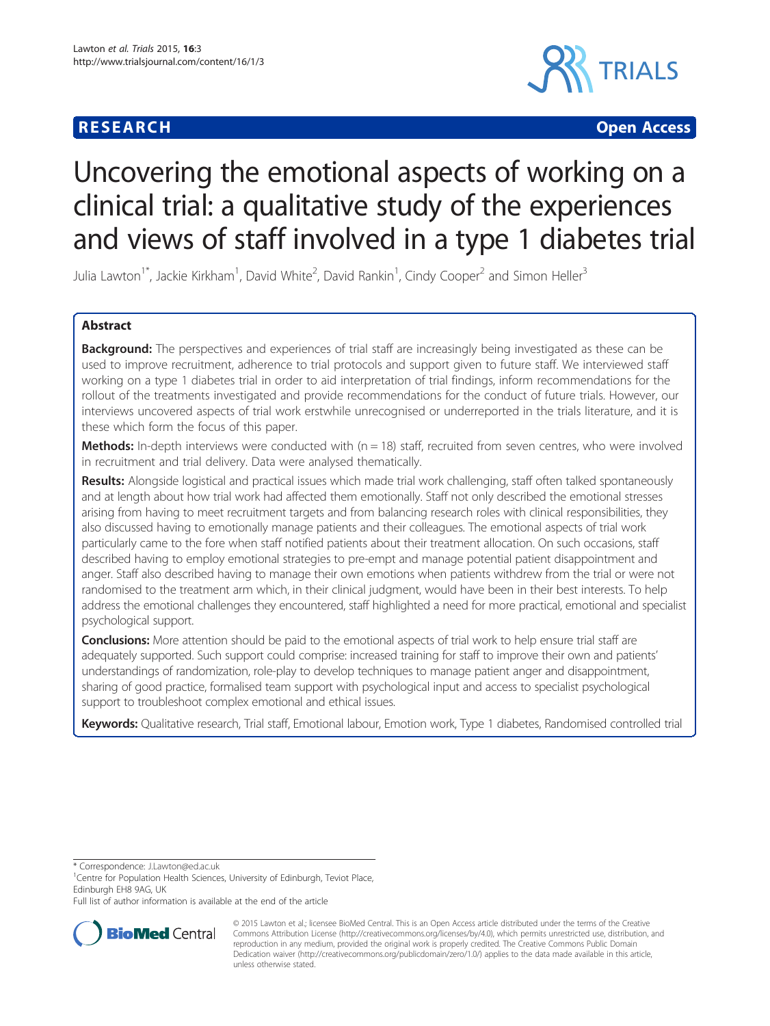## **RESEARCH CHEAR CHEAR CHEAR CHEAR CHEAR CHEAR CHEAR CHEAR CHEAR CHEAR CHEAR CHEAR CHEAR CHEAR CHEAR CHEAR CHEAR**



# Uncovering the emotional aspects of working on a clinical trial: a qualitative study of the experiences and views of staff involved in a type 1 diabetes trial

Julia Lawton<sup>1\*</sup>, Jackie Kirkham<sup>1</sup>, David White<sup>2</sup>, David Rankin<sup>1</sup>, Cindy Cooper<sup>2</sup> and Simon Heller<sup>3</sup>

### Abstract

Background: The perspectives and experiences of trial staff are increasingly being investigated as these can be used to improve recruitment, adherence to trial protocols and support given to future staff. We interviewed staff working on a type 1 diabetes trial in order to aid interpretation of trial findings, inform recommendations for the rollout of the treatments investigated and provide recommendations for the conduct of future trials. However, our interviews uncovered aspects of trial work erstwhile unrecognised or underreported in the trials literature, and it is these which form the focus of this paper.

**Methods:** In-depth interviews were conducted with  $(n = 18)$  staff, recruited from seven centres, who were involved in recruitment and trial delivery. Data were analysed thematically.

Results: Alongside logistical and practical issues which made trial work challenging, staff often talked spontaneously and at length about how trial work had affected them emotionally. Staff not only described the emotional stresses arising from having to meet recruitment targets and from balancing research roles with clinical responsibilities, they also discussed having to emotionally manage patients and their colleagues. The emotional aspects of trial work particularly came to the fore when staff notified patients about their treatment allocation. On such occasions, staff described having to employ emotional strategies to pre-empt and manage potential patient disappointment and anger. Staff also described having to manage their own emotions when patients withdrew from the trial or were not randomised to the treatment arm which, in their clinical judgment, would have been in their best interests. To help address the emotional challenges they encountered, staff highlighted a need for more practical, emotional and specialist psychological support.

Conclusions: More attention should be paid to the emotional aspects of trial work to help ensure trial staff are adequately supported. Such support could comprise: increased training for staff to improve their own and patients' understandings of randomization, role-play to develop techniques to manage patient anger and disappointment, sharing of good practice, formalised team support with psychological input and access to specialist psychological support to troubleshoot complex emotional and ethical issues.

Keywords: Qualitative research, Trial staff, Emotional labour, Emotion work, Type 1 diabetes, Randomised controlled trial

\* Correspondence: [J.Lawton@ed.ac.uk](mailto:J.Lawton@ed.ac.uk) <sup>1</sup>

Full list of author information is available at the end of the article



<sup>© 2015</sup> Lawton et al.; licensee BioMed Central. This is an Open Access article distributed under the terms of the Creative Commons Attribution License [\(http://creativecommons.org/licenses/by/4.0\)](http://creativecommons.org/licenses/by/4.0), which permits unrestricted use, distribution, and reproduction in any medium, provided the original work is properly credited. The Creative Commons Public Domain Dedication waiver [\(http://creativecommons.org/publicdomain/zero/1.0/](http://creativecommons.org/publicdomain/zero/1.0/)) applies to the data made available in this article, unless otherwise stated.

<sup>&</sup>lt;sup>1</sup> Centre for Population Health Sciences, University of Edinburgh, Teviot Place, Edinburgh EH8 9AG, UK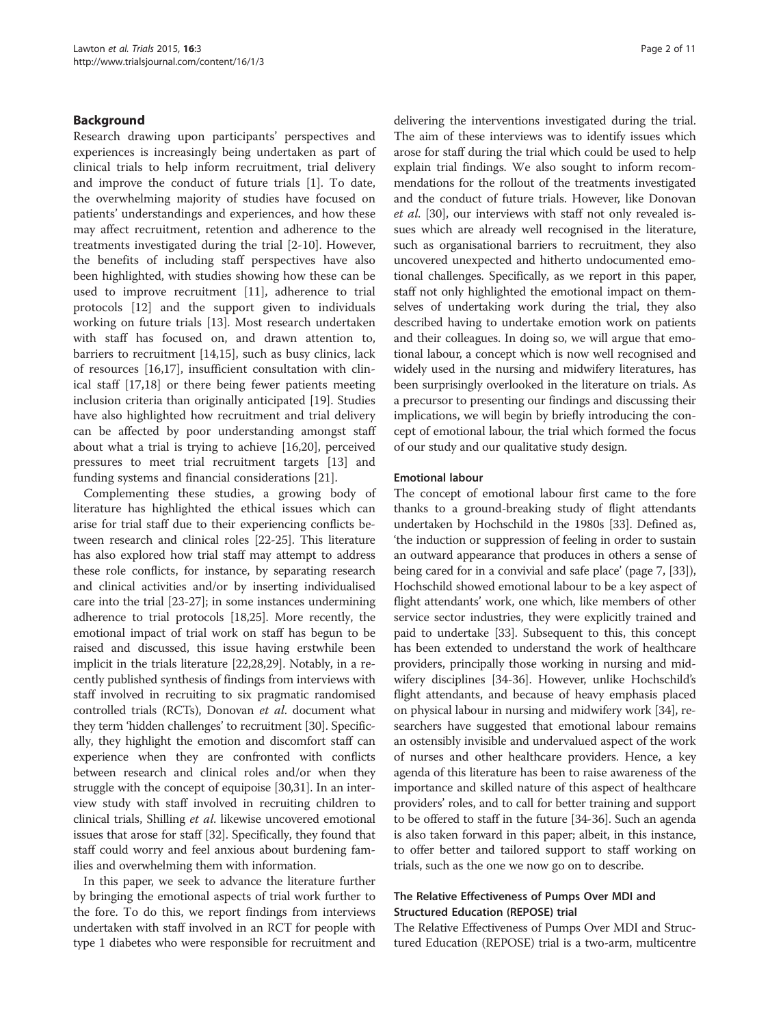#### Background

Research drawing upon participants' perspectives and experiences is increasingly being undertaken as part of clinical trials to help inform recruitment, trial delivery and improve the conduct of future trials [\[1\]](#page-9-0). To date, the overwhelming majority of studies have focused on patients' understandings and experiences, and how these may affect recruitment, retention and adherence to the treatments investigated during the trial [\[2](#page-9-0)-[10\]](#page-9-0). However, the benefits of including staff perspectives have also been highlighted, with studies showing how these can be used to improve recruitment [[11\]](#page-9-0), adherence to trial protocols [[12](#page-9-0)] and the support given to individuals working on future trials [[13\]](#page-9-0). Most research undertaken with staff has focused on, and drawn attention to, barriers to recruitment [\[14,15](#page-9-0)], such as busy clinics, lack of resources [[16](#page-9-0),[17](#page-9-0)], insufficient consultation with clinical staff [[17,18](#page-9-0)] or there being fewer patients meeting inclusion criteria than originally anticipated [[19\]](#page-9-0). Studies have also highlighted how recruitment and trial delivery can be affected by poor understanding amongst staff about what a trial is trying to achieve [\[16,20\]](#page-9-0), perceived pressures to meet trial recruitment targets [\[13](#page-9-0)] and funding systems and financial considerations [\[21\]](#page-9-0).

Complementing these studies, a growing body of literature has highlighted the ethical issues which can arise for trial staff due to their experiencing conflicts between research and clinical roles [\[22-25\]](#page-9-0). This literature has also explored how trial staff may attempt to address these role conflicts, for instance, by separating research and clinical activities and/or by inserting individualised care into the trial [\[23-27\]](#page-9-0); in some instances undermining adherence to trial protocols [\[18,25\]](#page-9-0). More recently, the emotional impact of trial work on staff has begun to be raised and discussed, this issue having erstwhile been implicit in the trials literature [\[22,28,29\]](#page-9-0). Notably, in a recently published synthesis of findings from interviews with staff involved in recruiting to six pragmatic randomised controlled trials (RCTs), Donovan et al. document what they term 'hidden challenges' to recruitment [\[30\]](#page-9-0). Specifically, they highlight the emotion and discomfort staff can experience when they are confronted with conflicts between research and clinical roles and/or when they struggle with the concept of equipoise [\[30,31\]](#page-9-0). In an interview study with staff involved in recruiting children to clinical trials, Shilling et al. likewise uncovered emotional issues that arose for staff [[32](#page-10-0)]. Specifically, they found that staff could worry and feel anxious about burdening families and overwhelming them with information.

In this paper, we seek to advance the literature further by bringing the emotional aspects of trial work further to the fore. To do this, we report findings from interviews undertaken with staff involved in an RCT for people with type 1 diabetes who were responsible for recruitment and delivering the interventions investigated during the trial. The aim of these interviews was to identify issues which arose for staff during the trial which could be used to help explain trial findings. We also sought to inform recommendations for the rollout of the treatments investigated and the conduct of future trials. However, like Donovan et al. [\[30\]](#page-9-0), our interviews with staff not only revealed issues which are already well recognised in the literature, such as organisational barriers to recruitment, they also uncovered unexpected and hitherto undocumented emotional challenges. Specifically, as we report in this paper, staff not only highlighted the emotional impact on themselves of undertaking work during the trial, they also described having to undertake emotion work on patients and their colleagues. In doing so, we will argue that emotional labour, a concept which is now well recognised and widely used in the nursing and midwifery literatures, has been surprisingly overlooked in the literature on trials. As a precursor to presenting our findings and discussing their implications, we will begin by briefly introducing the concept of emotional labour, the trial which formed the focus of our study and our qualitative study design.

#### Emotional labour

The concept of emotional labour first came to the fore thanks to a ground-breaking study of flight attendants undertaken by Hochschild in the 1980s [\[33\]](#page-10-0). Defined as, 'the induction or suppression of feeling in order to sustain an outward appearance that produces in others a sense of being cared for in a convivial and safe place' (page 7, [[33](#page-10-0)]), Hochschild showed emotional labour to be a key aspect of flight attendants' work, one which, like members of other service sector industries, they were explicitly trained and paid to undertake [[33](#page-10-0)]. Subsequent to this, this concept has been extended to understand the work of healthcare providers, principally those working in nursing and midwifery disciplines [\[34](#page-10-0)-[36](#page-10-0)]. However, unlike Hochschild's flight attendants, and because of heavy emphasis placed on physical labour in nursing and midwifery work [[34](#page-10-0)], researchers have suggested that emotional labour remains an ostensibly invisible and undervalued aspect of the work of nurses and other healthcare providers. Hence, a key agenda of this literature has been to raise awareness of the importance and skilled nature of this aspect of healthcare providers' roles, and to call for better training and support to be offered to staff in the future [[34-36\]](#page-10-0). Such an agenda is also taken forward in this paper; albeit, in this instance, to offer better and tailored support to staff working on trials, such as the one we now go on to describe.

#### The Relative Effectiveness of Pumps Over MDI and Structured Education (REPOSE) trial

The Relative Effectiveness of Pumps Over MDI and Structured Education (REPOSE) trial is a two-arm, multicentre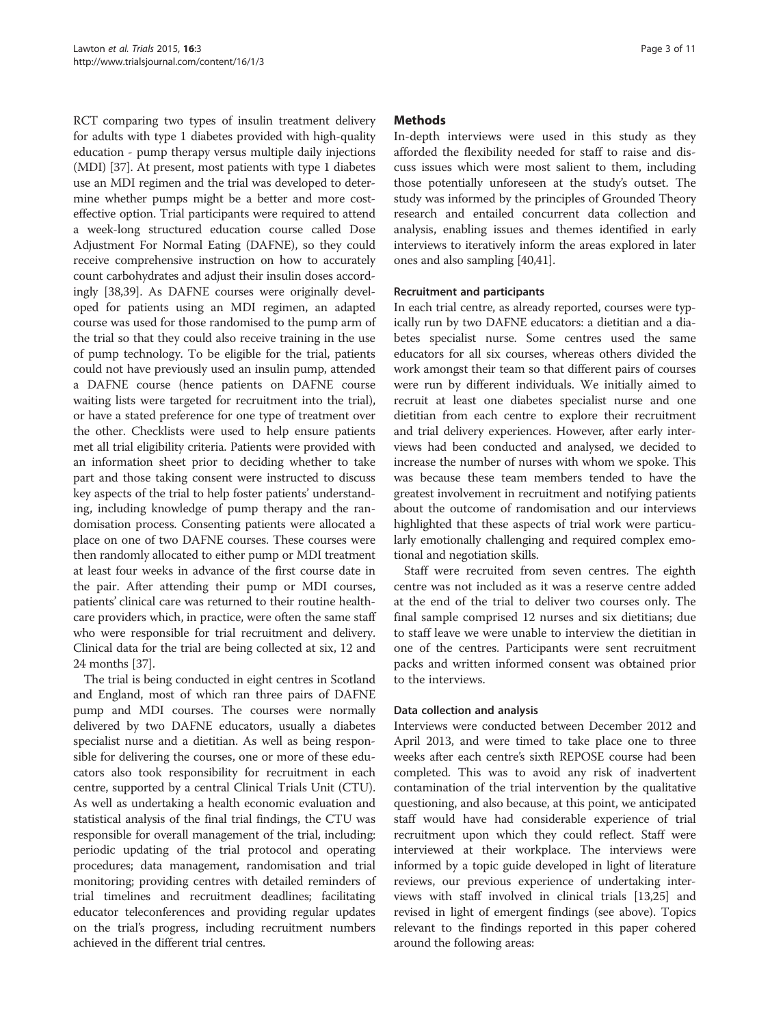RCT comparing two types of insulin treatment delivery for adults with type 1 diabetes provided with high-quality education - pump therapy versus multiple daily injections (MDI) [\[37\]](#page-10-0). At present, most patients with type 1 diabetes use an MDI regimen and the trial was developed to determine whether pumps might be a better and more costeffective option. Trial participants were required to attend a week-long structured education course called Dose Adjustment For Normal Eating (DAFNE), so they could receive comprehensive instruction on how to accurately count carbohydrates and adjust their insulin doses accordingly [[38,39\]](#page-10-0). As DAFNE courses were originally developed for patients using an MDI regimen, an adapted course was used for those randomised to the pump arm of the trial so that they could also receive training in the use of pump technology. To be eligible for the trial, patients could not have previously used an insulin pump, attended a DAFNE course (hence patients on DAFNE course waiting lists were targeted for recruitment into the trial), or have a stated preference for one type of treatment over the other. Checklists were used to help ensure patients met all trial eligibility criteria. Patients were provided with an information sheet prior to deciding whether to take part and those taking consent were instructed to discuss key aspects of the trial to help foster patients' understanding, including knowledge of pump therapy and the randomisation process. Consenting patients were allocated a place on one of two DAFNE courses. These courses were then randomly allocated to either pump or MDI treatment at least four weeks in advance of the first course date in the pair. After attending their pump or MDI courses, patients' clinical care was returned to their routine healthcare providers which, in practice, were often the same staff who were responsible for trial recruitment and delivery. Clinical data for the trial are being collected at six, 12 and 24 months [\[37\]](#page-10-0).

The trial is being conducted in eight centres in Scotland and England, most of which ran three pairs of DAFNE pump and MDI courses. The courses were normally delivered by two DAFNE educators, usually a diabetes specialist nurse and a dietitian. As well as being responsible for delivering the courses, one or more of these educators also took responsibility for recruitment in each centre, supported by a central Clinical Trials Unit (CTU). As well as undertaking a health economic evaluation and statistical analysis of the final trial findings, the CTU was responsible for overall management of the trial, including: periodic updating of the trial protocol and operating procedures; data management, randomisation and trial monitoring; providing centres with detailed reminders of trial timelines and recruitment deadlines; facilitating educator teleconferences and providing regular updates on the trial's progress, including recruitment numbers achieved in the different trial centres.

#### **Methods**

In-depth interviews were used in this study as they afforded the flexibility needed for staff to raise and discuss issues which were most salient to them, including those potentially unforeseen at the study's outset. The study was informed by the principles of Grounded Theory research and entailed concurrent data collection and analysis, enabling issues and themes identified in early interviews to iteratively inform the areas explored in later ones and also sampling [\[40,41](#page-10-0)].

#### Recruitment and participants

In each trial centre, as already reported, courses were typically run by two DAFNE educators: a dietitian and a diabetes specialist nurse. Some centres used the same educators for all six courses, whereas others divided the work amongst their team so that different pairs of courses were run by different individuals. We initially aimed to recruit at least one diabetes specialist nurse and one dietitian from each centre to explore their recruitment and trial delivery experiences. However, after early interviews had been conducted and analysed, we decided to increase the number of nurses with whom we spoke. This was because these team members tended to have the greatest involvement in recruitment and notifying patients about the outcome of randomisation and our interviews highlighted that these aspects of trial work were particularly emotionally challenging and required complex emotional and negotiation skills.

Staff were recruited from seven centres. The eighth centre was not included as it was a reserve centre added at the end of the trial to deliver two courses only. The final sample comprised 12 nurses and six dietitians; due to staff leave we were unable to interview the dietitian in one of the centres. Participants were sent recruitment packs and written informed consent was obtained prior to the interviews.

#### Data collection and analysis

Interviews were conducted between December 2012 and April 2013, and were timed to take place one to three weeks after each centre's sixth REPOSE course had been completed. This was to avoid any risk of inadvertent contamination of the trial intervention by the qualitative questioning, and also because, at this point, we anticipated staff would have had considerable experience of trial recruitment upon which they could reflect. Staff were interviewed at their workplace. The interviews were informed by a topic guide developed in light of literature reviews, our previous experience of undertaking interviews with staff involved in clinical trials [\[13,25\]](#page-9-0) and revised in light of emergent findings (see above). Topics relevant to the findings reported in this paper cohered around the following areas: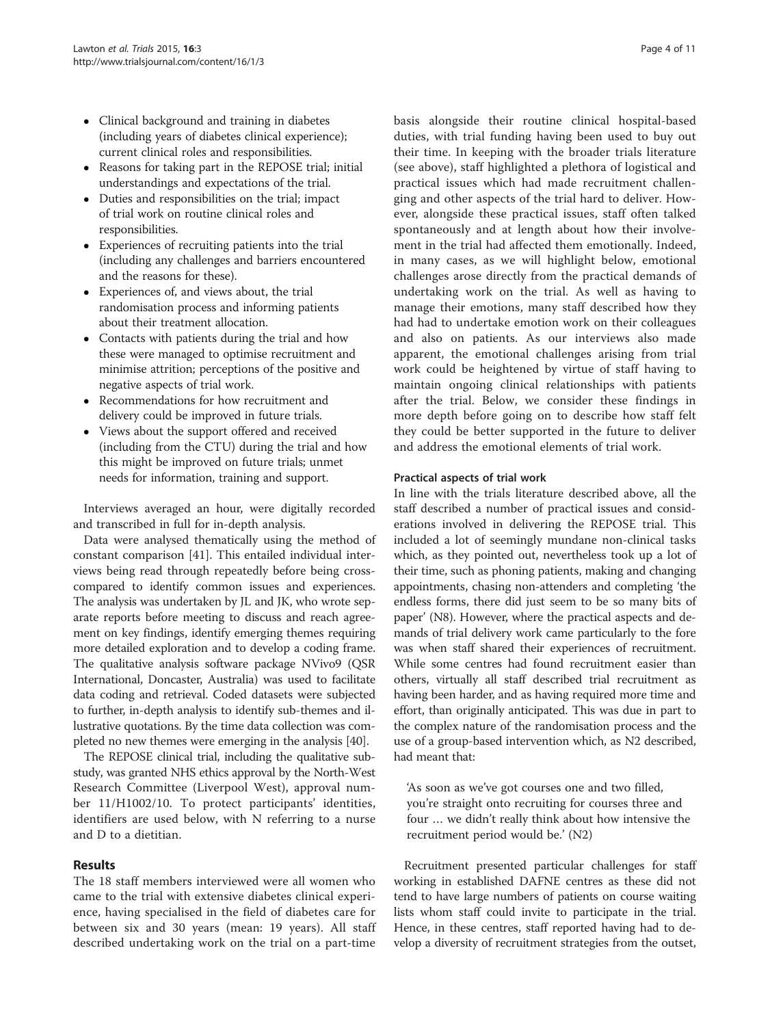- Clinical background and training in diabetes (including years of diabetes clinical experience); current clinical roles and responsibilities.
- Reasons for taking part in the REPOSE trial; initial understandings and expectations of the trial.
- Duties and responsibilities on the trial; impact of trial work on routine clinical roles and responsibilities.
- Experiences of recruiting patients into the trial (including any challenges and barriers encountered and the reasons for these).
- Experiences of, and views about, the trial randomisation process and informing patients about their treatment allocation.
- Contacts with patients during the trial and how these were managed to optimise recruitment and minimise attrition; perceptions of the positive and negative aspects of trial work.
- Recommendations for how recruitment and delivery could be improved in future trials.
- Views about the support offered and received (including from the CTU) during the trial and how this might be improved on future trials; unmet needs for information, training and support.

Interviews averaged an hour, were digitally recorded and transcribed in full for in-depth analysis.

Data were analysed thematically using the method of constant comparison [\[41\]](#page-10-0). This entailed individual interviews being read through repeatedly before being crosscompared to identify common issues and experiences. The analysis was undertaken by JL and JK, who wrote separate reports before meeting to discuss and reach agreement on key findings, identify emerging themes requiring more detailed exploration and to develop a coding frame. The qualitative analysis software package NVivo9 (QSR International, Doncaster, Australia) was used to facilitate data coding and retrieval. Coded datasets were subjected to further, in-depth analysis to identify sub-themes and illustrative quotations. By the time data collection was completed no new themes were emerging in the analysis [[40](#page-10-0)].

The REPOSE clinical trial, including the qualitative substudy, was granted NHS ethics approval by the North-West Research Committee (Liverpool West), approval number 11/H1002/10. To protect participants' identities, identifiers are used below, with N referring to a nurse and D to a dietitian.

#### Results

The 18 staff members interviewed were all women who came to the trial with extensive diabetes clinical experience, having specialised in the field of diabetes care for between six and 30 years (mean: 19 years). All staff described undertaking work on the trial on a part-time basis alongside their routine clinical hospital-based duties, with trial funding having been used to buy out their time. In keeping with the broader trials literature (see above), staff highlighted a plethora of logistical and practical issues which had made recruitment challenging and other aspects of the trial hard to deliver. However, alongside these practical issues, staff often talked spontaneously and at length about how their involvement in the trial had affected them emotionally. Indeed, in many cases, as we will highlight below, emotional challenges arose directly from the practical demands of undertaking work on the trial. As well as having to

manage their emotions, many staff described how they had had to undertake emotion work on their colleagues and also on patients. As our interviews also made apparent, the emotional challenges arising from trial work could be heightened by virtue of staff having to maintain ongoing clinical relationships with patients after the trial. Below, we consider these findings in more depth before going on to describe how staff felt they could be better supported in the future to deliver and address the emotional elements of trial work.

#### Practical aspects of trial work

In line with the trials literature described above, all the staff described a number of practical issues and considerations involved in delivering the REPOSE trial. This included a lot of seemingly mundane non-clinical tasks which, as they pointed out, nevertheless took up a lot of their time, such as phoning patients, making and changing appointments, chasing non-attenders and completing 'the endless forms, there did just seem to be so many bits of paper' (N8). However, where the practical aspects and demands of trial delivery work came particularly to the fore was when staff shared their experiences of recruitment. While some centres had found recruitment easier than others, virtually all staff described trial recruitment as having been harder, and as having required more time and effort, than originally anticipated. This was due in part to the complex nature of the randomisation process and the use of a group-based intervention which, as N2 described, had meant that:

'As soon as we've got courses one and two filled, you're straight onto recruiting for courses three and four … we didn't really think about how intensive the recruitment period would be.' (N2)

Recruitment presented particular challenges for staff working in established DAFNE centres as these did not tend to have large numbers of patients on course waiting lists whom staff could invite to participate in the trial. Hence, in these centres, staff reported having had to develop a diversity of recruitment strategies from the outset,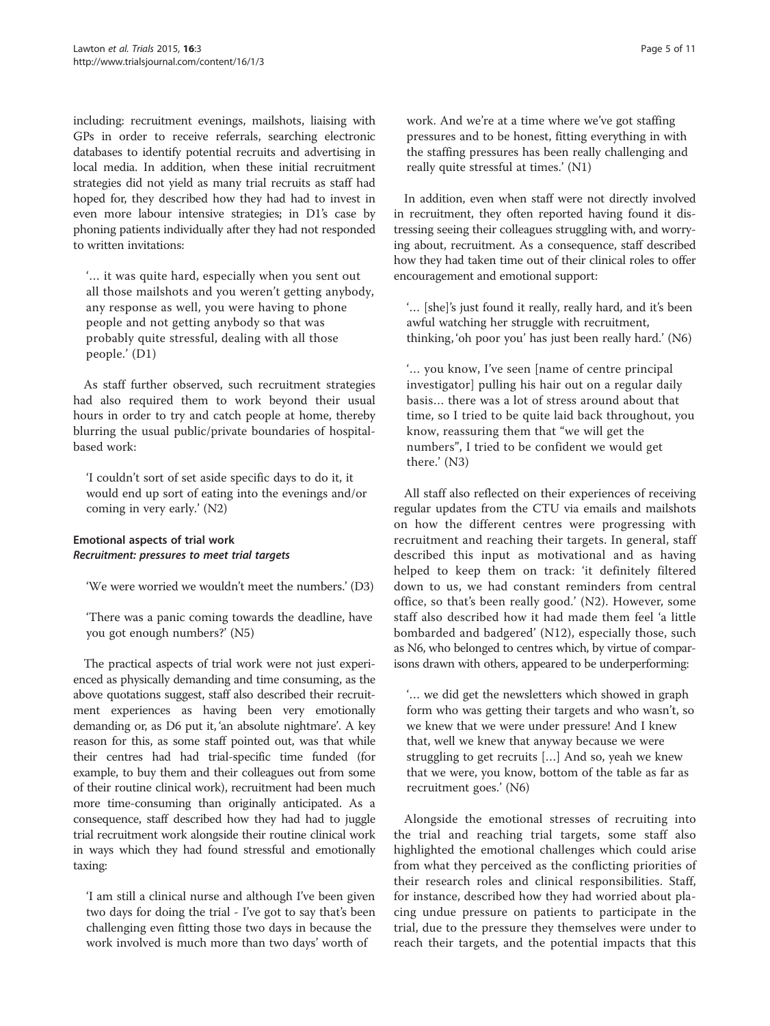including: recruitment evenings, mailshots, liaising with GPs in order to receive referrals, searching electronic databases to identify potential recruits and advertising in local media. In addition, when these initial recruitment strategies did not yield as many trial recruits as staff had hoped for, they described how they had had to invest in even more labour intensive strategies; in D1's case by phoning patients individually after they had not responded to written invitations:

'… it was quite hard, especially when you sent out all those mailshots and you weren't getting anybody, any response as well, you were having to phone people and not getting anybody so that was probably quite stressful, dealing with all those people.' (D1)

As staff further observed, such recruitment strategies had also required them to work beyond their usual hours in order to try and catch people at home, thereby blurring the usual public/private boundaries of hospitalbased work:

'I couldn't sort of set aside specific days to do it, it would end up sort of eating into the evenings and/or coming in very early.' (N2)

#### Emotional aspects of trial work Recruitment: pressures to meet trial targets

'We were worried we wouldn't meet the numbers.' (D3)

'There was a panic coming towards the deadline, have you got enough numbers?' (N5)

The practical aspects of trial work were not just experienced as physically demanding and time consuming, as the above quotations suggest, staff also described their recruitment experiences as having been very emotionally demanding or, as D6 put it, 'an absolute nightmare'. A key reason for this, as some staff pointed out, was that while their centres had had trial-specific time funded (for example, to buy them and their colleagues out from some of their routine clinical work), recruitment had been much more time-consuming than originally anticipated. As a consequence, staff described how they had had to juggle trial recruitment work alongside their routine clinical work in ways which they had found stressful and emotionally taxing:

'I am still a clinical nurse and although I've been given two days for doing the trial - I've got to say that's been challenging even fitting those two days in because the work involved is much more than two days' worth of

work. And we're at a time where we've got staffing pressures and to be honest, fitting everything in with the staffing pressures has been really challenging and really quite stressful at times.' (N1)

In addition, even when staff were not directly involved in recruitment, they often reported having found it distressing seeing their colleagues struggling with, and worrying about, recruitment. As a consequence, staff described how they had taken time out of their clinical roles to offer encouragement and emotional support:

'… [she]'s just found it really, really hard, and it's been awful watching her struggle with recruitment, thinking, 'oh poor you' has just been really hard.' (N6)

'… you know, I've seen [name of centre principal investigator] pulling his hair out on a regular daily basis… there was a lot of stress around about that time, so I tried to be quite laid back throughout, you know, reassuring them that "we will get the numbers", I tried to be confident we would get there.' (N3)

All staff also reflected on their experiences of receiving regular updates from the CTU via emails and mailshots on how the different centres were progressing with recruitment and reaching their targets. In general, staff described this input as motivational and as having helped to keep them on track: 'it definitely filtered down to us, we had constant reminders from central office, so that's been really good.' (N2). However, some staff also described how it had made them feel 'a little bombarded and badgered' (N12), especially those, such as N6, who belonged to centres which, by virtue of comparisons drawn with others, appeared to be underperforming:

'… we did get the newsletters which showed in graph form who was getting their targets and who wasn't, so we knew that we were under pressure! And I knew that, well we knew that anyway because we were struggling to get recruits […] And so, yeah we knew that we were, you know, bottom of the table as far as recruitment goes.' (N6)

Alongside the emotional stresses of recruiting into the trial and reaching trial targets, some staff also highlighted the emotional challenges which could arise from what they perceived as the conflicting priorities of their research roles and clinical responsibilities. Staff, for instance, described how they had worried about placing undue pressure on patients to participate in the trial, due to the pressure they themselves were under to reach their targets, and the potential impacts that this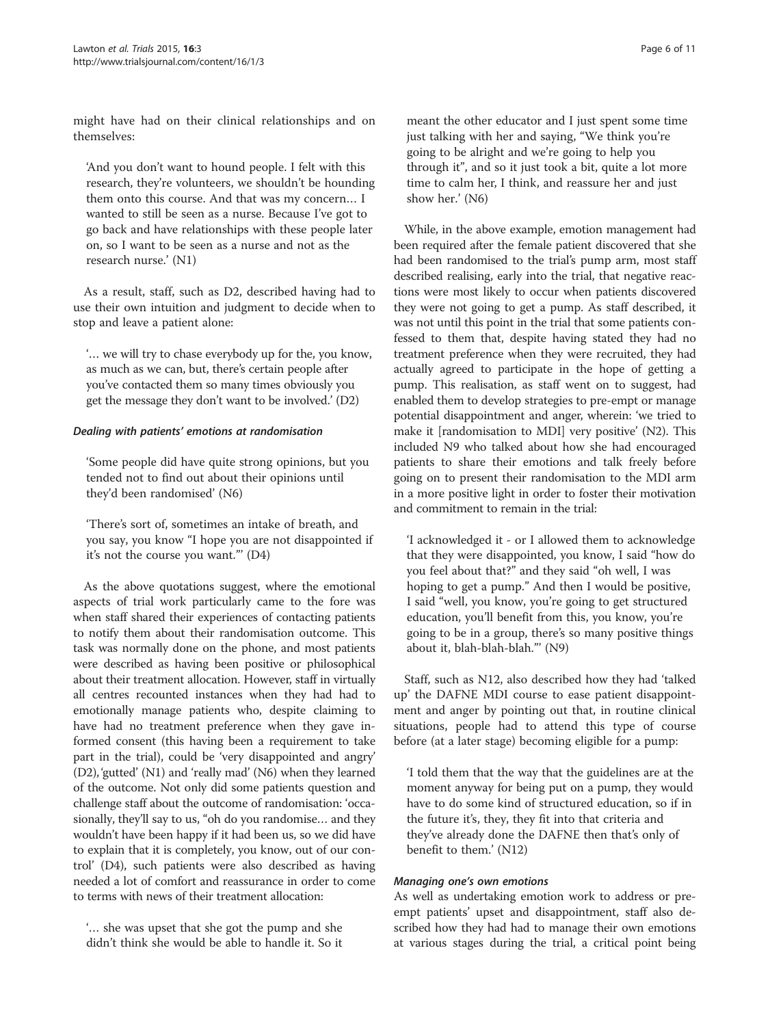might have had on their clinical relationships and on themselves:

'And you don't want to hound people. I felt with this research, they're volunteers, we shouldn't be hounding them onto this course. And that was my concern… I wanted to still be seen as a nurse. Because I've got to go back and have relationships with these people later on, so I want to be seen as a nurse and not as the research nurse.' (N1)

As a result, staff, such as D2, described having had to use their own intuition and judgment to decide when to stop and leave a patient alone:

'… we will try to chase everybody up for the, you know, as much as we can, but, there's certain people after you've contacted them so many times obviously you get the message they don't want to be involved.' (D2)

#### Dealing with patients' emotions at randomisation

'Some people did have quite strong opinions, but you tended not to find out about their opinions until they'd been randomised' (N6)

'There's sort of, sometimes an intake of breath, and you say, you know "I hope you are not disappointed if it's not the course you want."' (D4)

As the above quotations suggest, where the emotional aspects of trial work particularly came to the fore was when staff shared their experiences of contacting patients to notify them about their randomisation outcome. This task was normally done on the phone, and most patients were described as having been positive or philosophical about their treatment allocation. However, staff in virtually all centres recounted instances when they had had to emotionally manage patients who, despite claiming to have had no treatment preference when they gave informed consent (this having been a requirement to take part in the trial), could be 'very disappointed and angry' (D2), 'gutted' (N1) and 'really mad' (N6) when they learned of the outcome. Not only did some patients question and challenge staff about the outcome of randomisation: 'occasionally, they'll say to us, "oh do you randomise… and they wouldn't have been happy if it had been us, so we did have to explain that it is completely, you know, out of our control' (D4), such patients were also described as having needed a lot of comfort and reassurance in order to come to terms with news of their treatment allocation:

'… she was upset that she got the pump and she didn't think she would be able to handle it. So it meant the other educator and I just spent some time just talking with her and saying, "We think you're going to be alright and we're going to help you through it", and so it just took a bit, quite a lot more time to calm her, I think, and reassure her and just show her.' (N6)

While, in the above example, emotion management had been required after the female patient discovered that she had been randomised to the trial's pump arm, most staff described realising, early into the trial, that negative reactions were most likely to occur when patients discovered they were not going to get a pump. As staff described, it was not until this point in the trial that some patients confessed to them that, despite having stated they had no treatment preference when they were recruited, they had actually agreed to participate in the hope of getting a pump. This realisation, as staff went on to suggest, had enabled them to develop strategies to pre-empt or manage potential disappointment and anger, wherein: 'we tried to make it [randomisation to MDI] very positive' (N2). This included N9 who talked about how she had encouraged patients to share their emotions and talk freely before going on to present their randomisation to the MDI arm in a more positive light in order to foster their motivation and commitment to remain in the trial:

'I acknowledged it - or I allowed them to acknowledge that they were disappointed, you know, I said "how do you feel about that?" and they said "oh well, I was hoping to get a pump." And then I would be positive, I said "well, you know, you're going to get structured education, you'll benefit from this, you know, you're going to be in a group, there's so many positive things about it, blah-blah-blah."' (N9)

Staff, such as N12, also described how they had 'talked up' the DAFNE MDI course to ease patient disappointment and anger by pointing out that, in routine clinical situations, people had to attend this type of course before (at a later stage) becoming eligible for a pump:

'I told them that the way that the guidelines are at the moment anyway for being put on a pump, they would have to do some kind of structured education, so if in the future it's, they, they fit into that criteria and they've already done the DAFNE then that's only of benefit to them.' (N12)

#### Managing one's own emotions

As well as undertaking emotion work to address or preempt patients' upset and disappointment, staff also described how they had had to manage their own emotions at various stages during the trial, a critical point being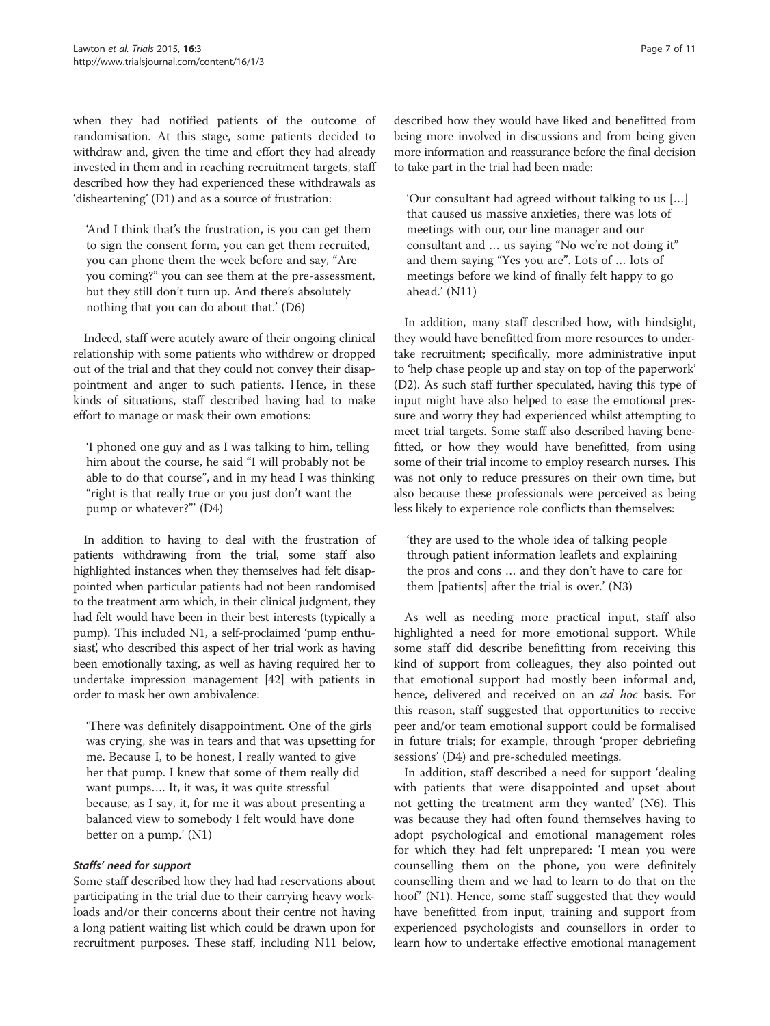when they had notified patients of the outcome of randomisation. At this stage, some patients decided to withdraw and, given the time and effort they had already invested in them and in reaching recruitment targets, staff described how they had experienced these withdrawals as 'disheartening' (D1) and as a source of frustration:

'And I think that's the frustration, is you can get them to sign the consent form, you can get them recruited, you can phone them the week before and say, "Are you coming?" you can see them at the pre-assessment, but they still don't turn up. And there's absolutely nothing that you can do about that.' (D6)

Indeed, staff were acutely aware of their ongoing clinical relationship with some patients who withdrew or dropped out of the trial and that they could not convey their disappointment and anger to such patients. Hence, in these kinds of situations, staff described having had to make effort to manage or mask their own emotions:

'I phoned one guy and as I was talking to him, telling him about the course, he said "I will probably not be able to do that course", and in my head I was thinking "right is that really true or you just don't want the pump or whatever?"' (D4)

In addition to having to deal with the frustration of patients withdrawing from the trial, some staff also highlighted instances when they themselves had felt disappointed when particular patients had not been randomised to the treatment arm which, in their clinical judgment, they had felt would have been in their best interests (typically a pump). This included N1, a self-proclaimed 'pump enthusiast, who described this aspect of her trial work as having been emotionally taxing, as well as having required her to undertake impression management [[42](#page-10-0)] with patients in order to mask her own ambivalence:

'There was definitely disappointment. One of the girls was crying, she was in tears and that was upsetting for me. Because I, to be honest, I really wanted to give her that pump. I knew that some of them really did want pumps…. It, it was, it was quite stressful because, as I say, it, for me it was about presenting a balanced view to somebody I felt would have done better on a pump.' (N1)

#### Staffs' need for support

Some staff described how they had had reservations about participating in the trial due to their carrying heavy workloads and/or their concerns about their centre not having a long patient waiting list which could be drawn upon for recruitment purposes. These staff, including N11 below, described how they would have liked and benefitted from being more involved in discussions and from being given more information and reassurance before the final decision to take part in the trial had been made:

'Our consultant had agreed without talking to us […] that caused us massive anxieties, there was lots of meetings with our, our line manager and our consultant and … us saying "No we're not doing it" and them saying "Yes you are". Lots of … lots of meetings before we kind of finally felt happy to go ahead.' (N11)

In addition, many staff described how, with hindsight, they would have benefitted from more resources to undertake recruitment; specifically, more administrative input to 'help chase people up and stay on top of the paperwork' (D2). As such staff further speculated, having this type of input might have also helped to ease the emotional pressure and worry they had experienced whilst attempting to meet trial targets. Some staff also described having benefitted, or how they would have benefitted, from using some of their trial income to employ research nurses. This was not only to reduce pressures on their own time, but also because these professionals were perceived as being less likely to experience role conflicts than themselves:

'they are used to the whole idea of talking people through patient information leaflets and explaining the pros and cons … and they don't have to care for them [patients] after the trial is over.' (N3)

As well as needing more practical input, staff also highlighted a need for more emotional support. While some staff did describe benefitting from receiving this kind of support from colleagues, they also pointed out that emotional support had mostly been informal and, hence, delivered and received on an ad hoc basis. For this reason, staff suggested that opportunities to receive peer and/or team emotional support could be formalised in future trials; for example, through 'proper debriefing sessions' (D4) and pre-scheduled meetings.

In addition, staff described a need for support 'dealing with patients that were disappointed and upset about not getting the treatment arm they wanted' (N6). This was because they had often found themselves having to adopt psychological and emotional management roles for which they had felt unprepared: 'I mean you were counselling them on the phone, you were definitely counselling them and we had to learn to do that on the hoof' (N1). Hence, some staff suggested that they would have benefitted from input, training and support from experienced psychologists and counsellors in order to learn how to undertake effective emotional management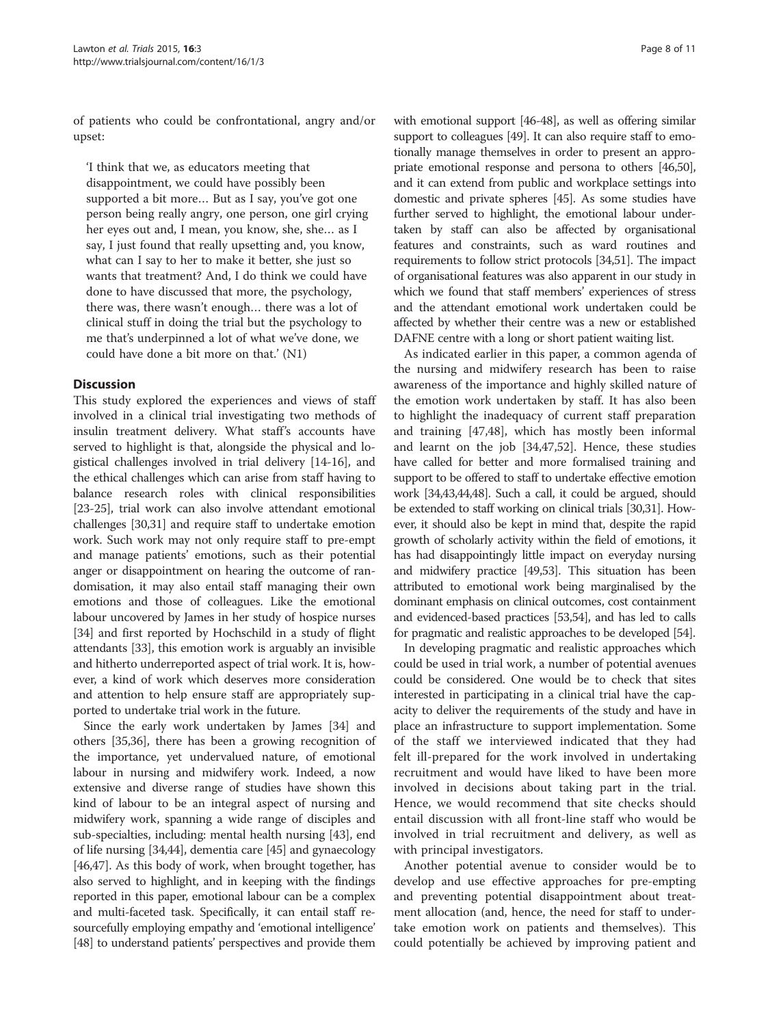of patients who could be confrontational, angry and/or upset:

'I think that we, as educators meeting that disappointment, we could have possibly been supported a bit more… But as I say, you've got one person being really angry, one person, one girl crying her eyes out and, I mean, you know, she, she… as I say, I just found that really upsetting and, you know, what can I say to her to make it better, she just so wants that treatment? And, I do think we could have done to have discussed that more, the psychology, there was, there wasn't enough… there was a lot of clinical stuff in doing the trial but the psychology to me that's underpinned a lot of what we've done, we could have done a bit more on that.' (N1)

#### **Discussion**

This study explored the experiences and views of staff involved in a clinical trial investigating two methods of insulin treatment delivery. What staff's accounts have served to highlight is that, alongside the physical and logistical challenges involved in trial delivery [\[14-16](#page-9-0)], and the ethical challenges which can arise from staff having to balance research roles with clinical responsibilities [[23](#page-9-0)-[25\]](#page-9-0), trial work can also involve attendant emotional challenges [\[30,31\]](#page-9-0) and require staff to undertake emotion work. Such work may not only require staff to pre-empt and manage patients' emotions, such as their potential anger or disappointment on hearing the outcome of randomisation, it may also entail staff managing their own emotions and those of colleagues. Like the emotional labour uncovered by James in her study of hospice nurses [[34](#page-10-0)] and first reported by Hochschild in a study of flight attendants [\[33](#page-10-0)], this emotion work is arguably an invisible and hitherto underreported aspect of trial work. It is, however, a kind of work which deserves more consideration and attention to help ensure staff are appropriately supported to undertake trial work in the future.

Since the early work undertaken by James [\[34](#page-10-0)] and others [\[35,36\]](#page-10-0), there has been a growing recognition of the importance, yet undervalued nature, of emotional labour in nursing and midwifery work. Indeed, a now extensive and diverse range of studies have shown this kind of labour to be an integral aspect of nursing and midwifery work, spanning a wide range of disciples and sub-specialties, including: mental health nursing [[43](#page-10-0)], end of life nursing [[34,44](#page-10-0)], dementia care [\[45\]](#page-10-0) and gynaecology [[46,47](#page-10-0)]. As this body of work, when brought together, has also served to highlight, and in keeping with the findings reported in this paper, emotional labour can be a complex and multi-faceted task. Specifically, it can entail staff resourcefully employing empathy and 'emotional intelligence' [[48](#page-10-0)] to understand patients' perspectives and provide them

with emotional support [\[46-48\]](#page-10-0), as well as offering similar support to colleagues [\[49\]](#page-10-0). It can also require staff to emotionally manage themselves in order to present an appropriate emotional response and persona to others [\[46,50](#page-10-0)], and it can extend from public and workplace settings into domestic and private spheres [\[45](#page-10-0)]. As some studies have further served to highlight, the emotional labour undertaken by staff can also be affected by organisational features and constraints, such as ward routines and requirements to follow strict protocols [[34,51\]](#page-10-0). The impact of organisational features was also apparent in our study in which we found that staff members' experiences of stress and the attendant emotional work undertaken could be affected by whether their centre was a new or established DAFNE centre with a long or short patient waiting list.

As indicated earlier in this paper, a common agenda of the nursing and midwifery research has been to raise awareness of the importance and highly skilled nature of the emotion work undertaken by staff. It has also been to highlight the inadequacy of current staff preparation and training [\[47,48](#page-10-0)], which has mostly been informal and learnt on the job [\[34,47,52\]](#page-10-0). Hence, these studies have called for better and more formalised training and support to be offered to staff to undertake effective emotion work [\[34,43,44,48\]](#page-10-0). Such a call, it could be argued, should be extended to staff working on clinical trials [\[30,31](#page-9-0)]. However, it should also be kept in mind that, despite the rapid growth of scholarly activity within the field of emotions, it has had disappointingly little impact on everyday nursing and midwifery practice [\[49,53\]](#page-10-0). This situation has been attributed to emotional work being marginalised by the dominant emphasis on clinical outcomes, cost containment and evidenced-based practices [\[53,54](#page-10-0)], and has led to calls for pragmatic and realistic approaches to be developed [[54](#page-10-0)].

In developing pragmatic and realistic approaches which could be used in trial work, a number of potential avenues could be considered. One would be to check that sites interested in participating in a clinical trial have the capacity to deliver the requirements of the study and have in place an infrastructure to support implementation. Some of the staff we interviewed indicated that they had felt ill-prepared for the work involved in undertaking recruitment and would have liked to have been more involved in decisions about taking part in the trial. Hence, we would recommend that site checks should entail discussion with all front-line staff who would be involved in trial recruitment and delivery, as well as with principal investigators.

Another potential avenue to consider would be to develop and use effective approaches for pre-empting and preventing potential disappointment about treatment allocation (and, hence, the need for staff to undertake emotion work on patients and themselves). This could potentially be achieved by improving patient and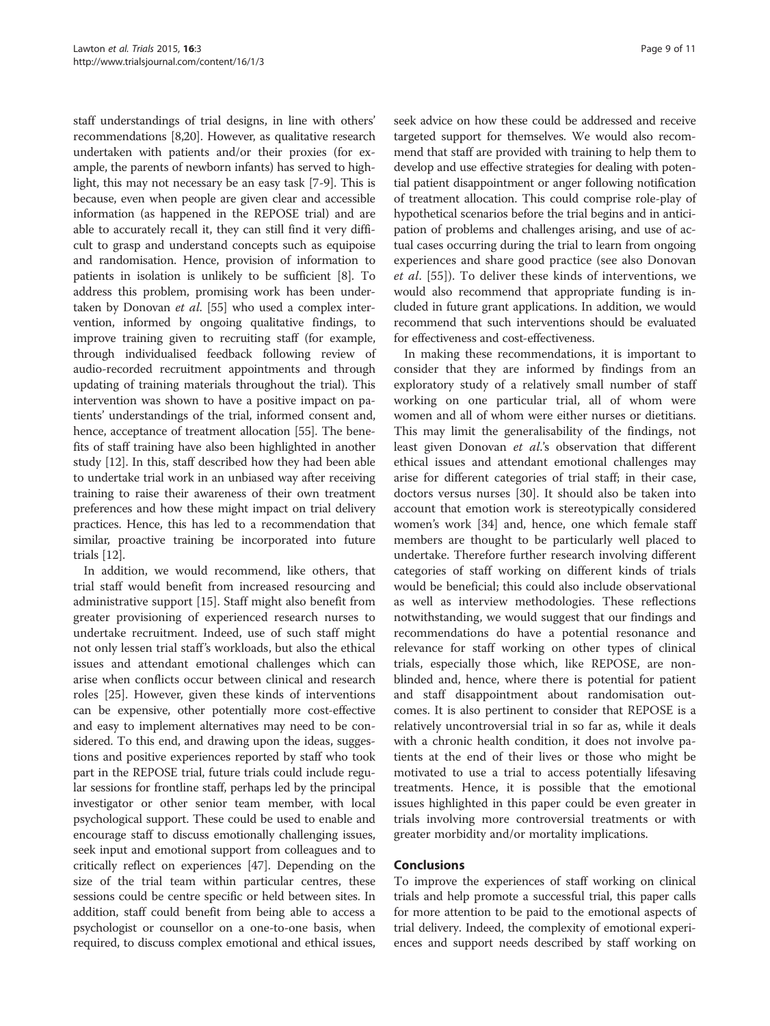staff understandings of trial designs, in line with others' recommendations [\[8,20\]](#page-9-0). However, as qualitative research undertaken with patients and/or their proxies (for example, the parents of newborn infants) has served to highlight, this may not necessary be an easy task [\[7-9](#page-9-0)]. This is because, even when people are given clear and accessible information (as happened in the REPOSE trial) and are able to accurately recall it, they can still find it very difficult to grasp and understand concepts such as equipoise and randomisation. Hence, provision of information to patients in isolation is unlikely to be sufficient [\[8\]](#page-9-0). To address this problem, promising work has been undertaken by Donovan *et al.* [\[55\]](#page-10-0) who used a complex intervention, informed by ongoing qualitative findings, to improve training given to recruiting staff (for example, through individualised feedback following review of audio-recorded recruitment appointments and through updating of training materials throughout the trial). This intervention was shown to have a positive impact on patients' understandings of the trial, informed consent and, hence, acceptance of treatment allocation [[55](#page-10-0)]. The benefits of staff training have also been highlighted in another study [\[12\]](#page-9-0). In this, staff described how they had been able to undertake trial work in an unbiased way after receiving training to raise their awareness of their own treatment preferences and how these might impact on trial delivery practices. Hence, this has led to a recommendation that similar, proactive training be incorporated into future trials [\[12\]](#page-9-0).

In addition, we would recommend, like others, that trial staff would benefit from increased resourcing and administrative support [\[15\]](#page-9-0). Staff might also benefit from greater provisioning of experienced research nurses to undertake recruitment. Indeed, use of such staff might not only lessen trial staff's workloads, but also the ethical issues and attendant emotional challenges which can arise when conflicts occur between clinical and research roles [[25\]](#page-9-0). However, given these kinds of interventions can be expensive, other potentially more cost-effective and easy to implement alternatives may need to be considered. To this end, and drawing upon the ideas, suggestions and positive experiences reported by staff who took part in the REPOSE trial, future trials could include regular sessions for frontline staff, perhaps led by the principal investigator or other senior team member, with local psychological support. These could be used to enable and encourage staff to discuss emotionally challenging issues, seek input and emotional support from colleagues and to critically reflect on experiences [[47](#page-10-0)]. Depending on the size of the trial team within particular centres, these sessions could be centre specific or held between sites. In addition, staff could benefit from being able to access a psychologist or counsellor on a one-to-one basis, when required, to discuss complex emotional and ethical issues, seek advice on how these could be addressed and receive targeted support for themselves. We would also recommend that staff are provided with training to help them to develop and use effective strategies for dealing with potential patient disappointment or anger following notification of treatment allocation. This could comprise role-play of hypothetical scenarios before the trial begins and in anticipation of problems and challenges arising, and use of actual cases occurring during the trial to learn from ongoing experiences and share good practice (see also Donovan et al. [\[55](#page-10-0)]). To deliver these kinds of interventions, we would also recommend that appropriate funding is included in future grant applications. In addition, we would recommend that such interventions should be evaluated for effectiveness and cost-effectiveness.

In making these recommendations, it is important to consider that they are informed by findings from an exploratory study of a relatively small number of staff working on one particular trial, all of whom were women and all of whom were either nurses or dietitians. This may limit the generalisability of the findings, not least given Donovan et al.'s observation that different ethical issues and attendant emotional challenges may arise for different categories of trial staff; in their case, doctors versus nurses [\[30\]](#page-9-0). It should also be taken into account that emotion work is stereotypically considered women's work [\[34](#page-10-0)] and, hence, one which female staff members are thought to be particularly well placed to undertake. Therefore further research involving different categories of staff working on different kinds of trials would be beneficial; this could also include observational as well as interview methodologies. These reflections notwithstanding, we would suggest that our findings and recommendations do have a potential resonance and relevance for staff working on other types of clinical trials, especially those which, like REPOSE, are nonblinded and, hence, where there is potential for patient and staff disappointment about randomisation outcomes. It is also pertinent to consider that REPOSE is a relatively uncontroversial trial in so far as, while it deals with a chronic health condition, it does not involve patients at the end of their lives or those who might be motivated to use a trial to access potentially lifesaving treatments. Hence, it is possible that the emotional issues highlighted in this paper could be even greater in trials involving more controversial treatments or with greater morbidity and/or mortality implications.

#### Conclusions

To improve the experiences of staff working on clinical trials and help promote a successful trial, this paper calls for more attention to be paid to the emotional aspects of trial delivery. Indeed, the complexity of emotional experiences and support needs described by staff working on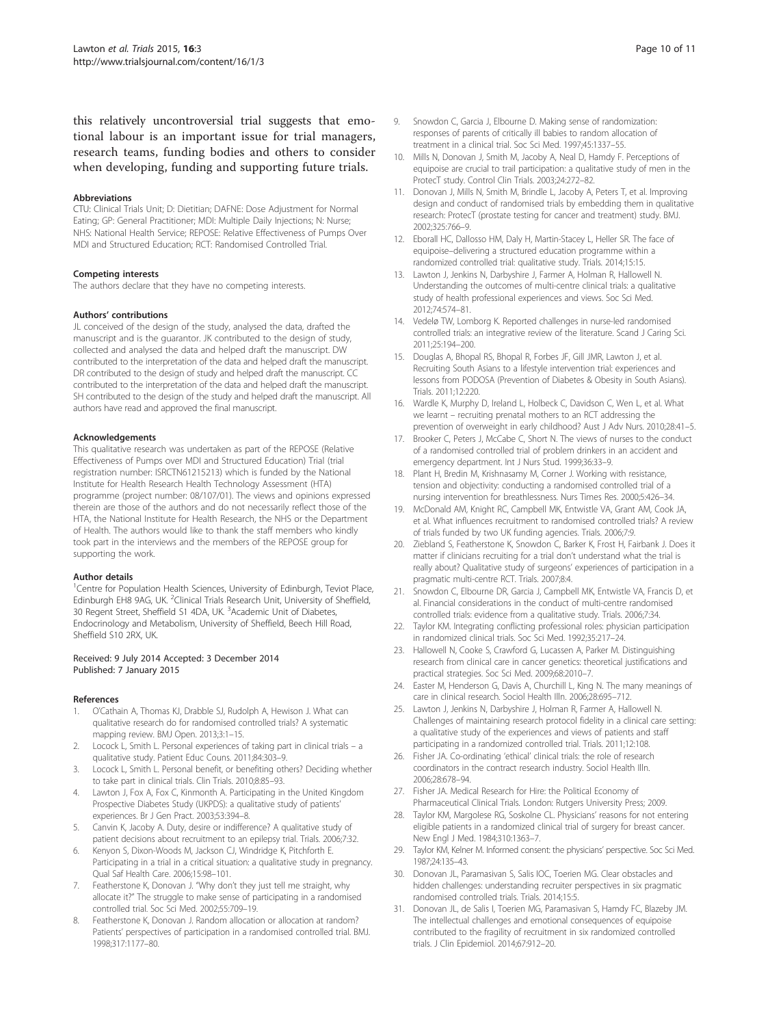<span id="page-9-0"></span>this relatively uncontroversial trial suggests that emotional labour is an important issue for trial managers, research teams, funding bodies and others to consider when developing, funding and supporting future trials.

#### Abbreviations

CTU: Clinical Trials Unit; D: Dietitian; DAFNE: Dose Adjustment for Normal Eating; GP: General Practitioner; MDI: Multiple Daily Injections; N: Nurse; NHS: National Health Service; REPOSE: Relative Effectiveness of Pumps Over MDI and Structured Education; RCT: Randomised Controlled Trial.

#### Competing interests

The authors declare that they have no competing interests.

#### Authors' contributions

JL conceived of the design of the study, analysed the data, drafted the manuscript and is the guarantor. JK contributed to the design of study, collected and analysed the data and helped draft the manuscript. DW contributed to the interpretation of the data and helped draft the manuscript. DR contributed to the design of study and helped draft the manuscript. CC contributed to the interpretation of the data and helped draft the manuscript. SH contributed to the design of the study and helped draft the manuscript. All authors have read and approved the final manuscript.

#### Acknowledgements

This qualitative research was undertaken as part of the REPOSE (Relative Effectiveness of Pumps over MDI and Structured Education) Trial (trial registration number: ISRCTN61215213) which is funded by the National Institute for Health Research Health Technology Assessment (HTA) programme (project number: 08/107/01). The views and opinions expressed therein are those of the authors and do not necessarily reflect those of the HTA, the National Institute for Health Research, the NHS or the Department of Health. The authors would like to thank the staff members who kindly took part in the interviews and the members of the REPOSE group for supporting the work.

#### Author details

<sup>1</sup>Centre for Population Health Sciences, University of Edinburgh, Teviot Place, Edinburgh EH8 9AG, UK. <sup>2</sup>Clinical Trials Research Unit, University of Sheffield, 30 Regent Street, Sheffield S1 4DA, UK. <sup>3</sup>Academic Unit of Diabetes, Endocrinology and Metabolism, University of Sheffield, Beech Hill Road, Sheffield S10 2RX, UK.

#### Received: 9 July 2014 Accepted: 3 December 2014 Published: 7 January 2015

#### References

- 1. O'Cathain A, Thomas KJ, Drabble SJ, Rudolph A, Hewison J. What can qualitative research do for randomised controlled trials? A systematic mapping review. BMJ Open. 2013;3:1–15.
- 2. Locock L, Smith L. Personal experiences of taking part in clinical trials a qualitative study. Patient Educ Couns. 2011;84:303–9.
- 3. Locock L, Smith L. Personal benefit, or benefiting others? Deciding whether to take part in clinical trials. Clin Trials. 2010;8:85–93.
- 4. Lawton J, Fox A, Fox C, Kinmonth A. Participating in the United Kingdom Prospective Diabetes Study (UKPDS): a qualitative study of patients' experiences. Br J Gen Pract. 2003;53:394–8.
- 5. Canvin K, Jacoby A. Duty, desire or indifference? A qualitative study of patient decisions about recruitment to an epilepsy trial. Trials. 2006;7:32.
- 6. Kenyon S, Dixon-Woods M, Jackson CJ, Windridge K, Pitchforth E. Participating in a trial in a critical situation: a qualitative study in pregnancy. Qual Saf Health Care. 2006;15:98–101.
- 7. Featherstone K, Donovan J. "Why don't they just tell me straight, why allocate it?" The struggle to make sense of participating in a randomised controlled trial. Soc Sci Med. 2002;55:709–19.
- Featherstone K, Donovan J. Random allocation or allocation at random? Patients' perspectives of participation in a randomised controlled trial. BMJ. 1998;317:1177–80.
- 9. Snowdon C, Garcia J, Elbourne D. Making sense of randomization: responses of parents of critically ill babies to random allocation of treatment in a clinical trial. Soc Sci Med. 1997;45:1337–55.
- 10. Mills N, Donovan J, Smith M, Jacoby A, Neal D, Hamdy F. Perceptions of equipoise are crucial to trail participation: a qualitative study of men in the ProtecT study. Control Clin Trials. 2003;24:272–82.
- 11. Donovan J, Mills N, Smith M, Brindle L, Jacoby A, Peters T, et al. Improving design and conduct of randomised trials by embedding them in qualitative research: ProtecT (prostate testing for cancer and treatment) study. BMJ. 2002;325:766–9.
- 12. Eborall HC, Dallosso HM, Daly H, Martin-Stacey L, Heller SR. The face of equipoise–delivering a structured education programme within a randomized controlled trial: qualitative study. Trials. 2014;15:15.
- 13. Lawton J, Jenkins N, Darbyshire J, Farmer A, Holman R, Hallowell N. Understanding the outcomes of multi-centre clinical trials: a qualitative study of health professional experiences and views. Soc Sci Med. 2012;74:574–81.
- 14. Vedelø TW, Lomborg K. Reported challenges in nurse-led randomised controlled trials: an integrative review of the literature. Scand J Caring Sci. 2011;25:194–200.
- 15. Douglas A, Bhopal RS, Bhopal R, Forbes JF, Gill JMR, Lawton J, et al. Recruiting South Asians to a lifestyle intervention trial: experiences and lessons from PODOSA (Prevention of Diabetes & Obesity in South Asians). Trials. 2011:12:220.
- 16. Wardle K, Murphy D, Ireland L, Holbeck C, Davidson C, Wen L, et al. What we learnt – recruiting prenatal mothers to an RCT addressing the prevention of overweight in early childhood? Aust J Adv Nurs. 2010;28:41–5.
- 17. Brooker C, Peters J, McCabe C, Short N. The views of nurses to the conduct of a randomised controlled trial of problem drinkers in an accident and emergency department. Int J Nurs Stud. 1999;36:33–9.
- 18. Plant H, Bredin M, Krishnasamy M, Corner J. Working with resistance, tension and objectivity: conducting a randomised controlled trial of a nursing intervention for breathlessness. Nurs Times Res. 2000;5:426–34.
- 19. McDonald AM, Knight RC, Campbell MK, Entwistle VA, Grant AM, Cook JA, et al. What influences recruitment to randomised controlled trials? A review of trials funded by two UK funding agencies. Trials. 2006;7:9.
- 20. Ziebland S, Featherstone K, Snowdon C, Barker K, Frost H, Fairbank J. Does it matter if clinicians recruiting for a trial don't understand what the trial is really about? Qualitative study of surgeons' experiences of participation in a pragmatic multi-centre RCT. Trials. 2007;8:4.
- 21. Snowdon C, Elbourne DR, Garcia J, Campbell MK, Entwistle VA, Francis D, et al. Financial considerations in the conduct of multi-centre randomised controlled trials: evidence from a qualitative study. Trials. 2006;7:34.
- 22. Taylor KM. Integrating conflicting professional roles: physician participation in randomized clinical trials. Soc Sci Med. 1992;35:217–24.
- 23. Hallowell N, Cooke S, Crawford G, Lucassen A, Parker M. Distinguishing research from clinical care in cancer genetics: theoretical justifications and practical strategies. Soc Sci Med. 2009;68:2010–7.
- 24. Easter M, Henderson G, Davis A, Churchill L, King N. The many meanings of care in clinical research. Sociol Health Illn. 2006;28:695–712.
- 25. Lawton J, Jenkins N, Darbyshire J, Holman R, Farmer A, Hallowell N. Challenges of maintaining research protocol fidelity in a clinical care setting: a qualitative study of the experiences and views of patients and staff participating in a randomized controlled trial. Trials. 2011;12:108.
- 26. Fisher JA. Co-ordinating 'ethical' clinical trials: the role of research coordinators in the contract research industry. Sociol Health Illn. 2006;28:678–94.
- 27. Fisher JA. Medical Research for Hire: the Political Economy of Pharmaceutical Clinical Trials. London: Rutgers University Press; 2009.
- 28. Taylor KM, Margolese RG, Soskolne CL. Physicians' reasons for not entering eligible patients in a randomized clinical trial of surgery for breast cancer. New Engl J Med. 1984;310:1363–7.
- 29. Taylor KM, Kelner M. Informed consent: the physicians' perspective. Soc Sci Med. 1987;24:135–43.
- 30. Donovan JL, Paramasivan S, Salis IOC, Toerien MG. Clear obstacles and hidden challenges: understanding recruiter perspectives in six pragmatic randomised controlled trials. Trials. 2014;15:5.
- 31. Donovan JL, de Salis I, Toerien MG, Paramasivan S, Hamdy FC, Blazeby JM. The intellectual challenges and emotional consequences of equipoise contributed to the fragility of recruitment in six randomized controlled trials. J Clin Epidemiol. 2014;67:912–20.